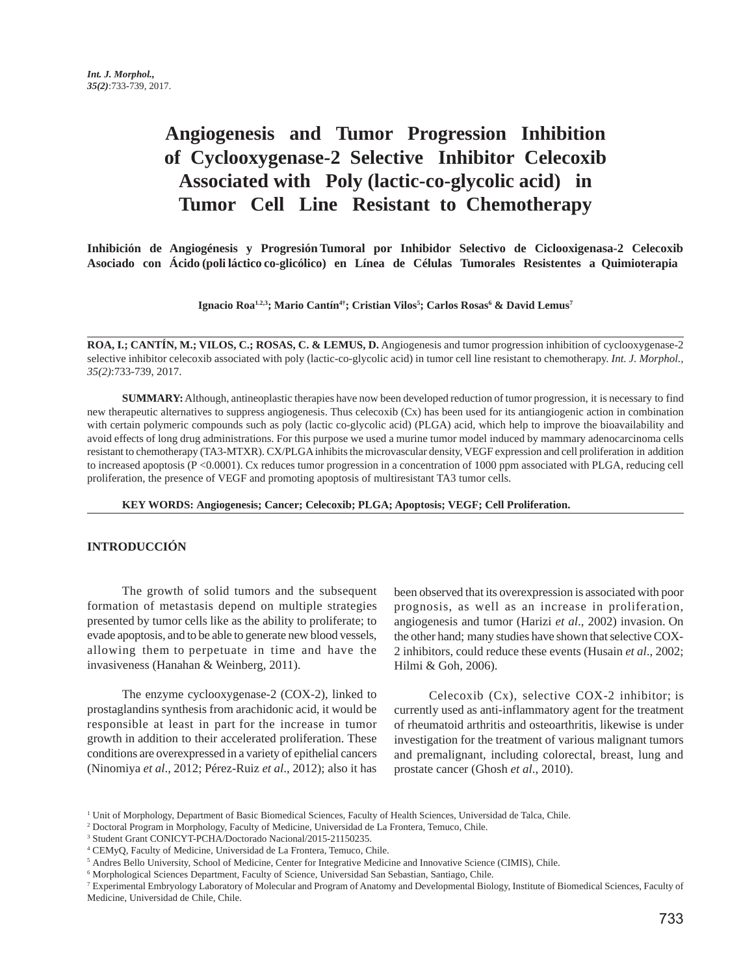# **Angiogenesis and Tumor Progression Inhibition of Cyclooxygenase-2 Selective Inhibitor Celecoxib Associated with Poly (lactic-co-glycolic acid) in Tumor Cell Line Resistant to Chemotherapy**

**Inhibición de Angiogénesis y Progresión Tumoral por Inhibidor Selectivo de Ciclooxigenasa-2 Celecoxib Asociado con Ácido (poli láctico co-glicólico) en Línea de Células Tumorales Resistentes a Quimioterapia**

**Ignacio Roa1.2,3; Mario Cantín4†; Cristian Vilos5 ; Carlos Rosas6 & David Lemus7**

**ROA, I.; CANTÍN, M.; VILOS, C.; ROSAS, C. & LEMUS, D.** Angiogenesis and tumor progression inhibition of cyclooxygenase-2 selective inhibitor celecoxib associated with poly (lactic-co-glycolic acid) in tumor cell line resistant to chemotherapy. *Int. J. Morphol., 35(2)*:733-739, 2017.

**SUMMARY:** Although, antineoplastic therapies have now been developed reduction of tumor progression, it is necessary to find new therapeutic alternatives to suppress angiogenesis. Thus celecoxib (Cx) has been used for its antiangiogenic action in combination with certain polymeric compounds such as poly (lactic co-glycolic acid) (PLGA) acid, which help to improve the bioavailability and avoid effects of long drug administrations. For this purpose we used a murine tumor model induced by mammary adenocarcinoma cells resistant to chemotherapy (TA3-MTXR). CX/PLGA inhibits the microvascular density, VEGF expression and cell proliferation in addition to increased apoptosis (P <0.0001). Cx reduces tumor progression in a concentration of 1000 ppm associated with PLGA, reducing cell proliferation, the presence of VEGF and promoting apoptosis of multiresistant TA3 tumor cells.

**KEY WORDS: Angiogenesis; Cancer; Celecoxib; PLGA; Apoptosis; VEGF; Cell Proliferation.**

### **INTRODUCCIÓN**

The growth of solid tumors and the subsequent formation of metastasis depend on multiple strategies presented by tumor cells like as the ability to proliferate; to evade apoptosis, and to be able to generate new blood vessels, allowing them to perpetuate in time and have the invasiveness (Hanahan & Weinberg, 2011).

The enzyme cyclooxygenase-2 (COX-2), linked to prostaglandins synthesis from arachidonic acid, it would be responsible at least in part for the increase in tumor growth in addition to their accelerated proliferation. These conditions are overexpressed in a variety of epithelial cancers (Ninomiya *et al*., 2012; Pérez-Ruiz *et al*., 2012); also it has

been observed that its overexpression is associated with poor prognosis, as well as an increase in proliferation, angiogenesis and tumor (Harizi *et al*., 2002) invasion. On the other hand; many studies have shown that selective COX-2 inhibitors, could reduce these events (Husain *et al*., 2002; Hilmi & Goh, 2006).

Celecoxib (Cx), selective COX-2 inhibitor; is currently used as anti-inflammatory agent for the treatment of rheumatoid arthritis and osteoarthritis, likewise is under investigation for the treatment of various malignant tumors and premalignant, including colorectal, breast, lung and prostate cancer (Ghosh *et al*., 2010).

<sup>&</sup>lt;sup>1</sup> Unit of Morphology, Department of Basic Biomedical Sciences, Faculty of Health Sciences, Universidad de Talca, Chile.

<sup>2</sup> Doctoral Program in Morphology, Faculty of Medicine, Universidad de La Frontera, Temuco, Chile.

<sup>3</sup> Student Grant CONICYT-PCHA/Doctorado Nacional/2015-21150235.

<sup>4</sup> CEMyQ, Faculty of Medicine, Universidad de La Frontera, Temuco, Chile.

<sup>5</sup> Andres Bello University, School of Medicine, Center for Integrative Medicine and Innovative Science (CIMIS), Chile.

<sup>6</sup> Morphological Sciences Department, Faculty of Science, Universidad San Sebastian, Santiago, Chile.

<sup>7</sup> Experimental Embryology Laboratory of Molecular and Program of Anatomy and Developmental Biology, Institute of Biomedical Sciences, Faculty of Medicine, Universidad de Chile, Chile.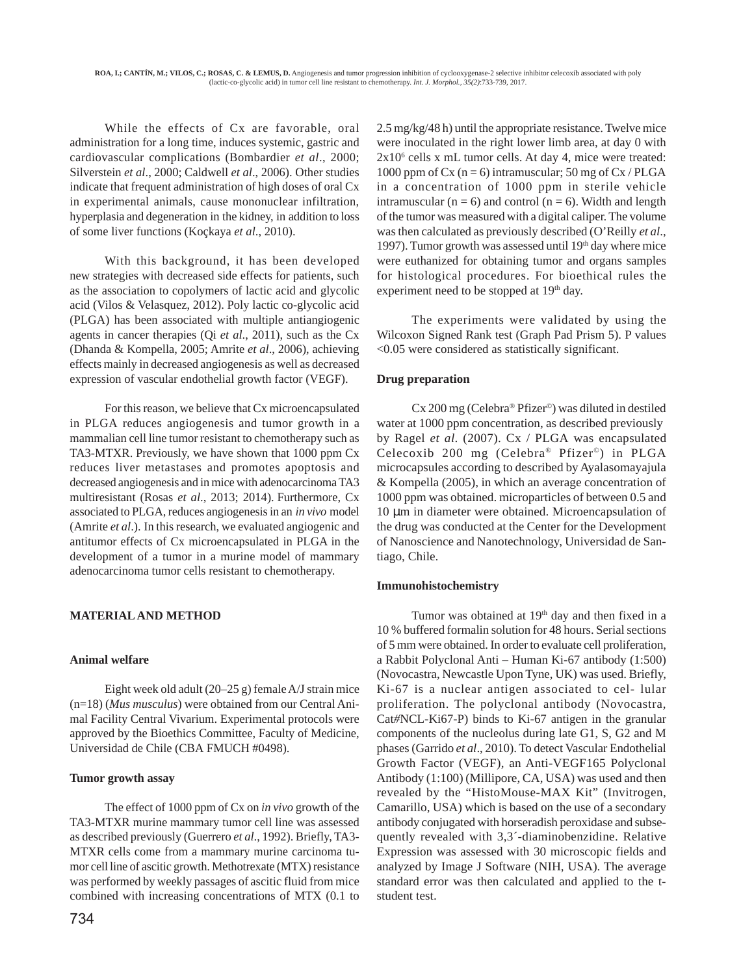While the effects of Cx are favorable, oral administration for a long time, induces systemic, gastric and cardiovascular complications (Bombardier *et al*., 2000; Silverstein *et al*., 2000; Caldwell *et al*., 2006). Other studies indicate that frequent administration of high doses of oral Cx in experimental animals, cause mononuclear infiltration, hyperplasia and degeneration in the kidney, in addition to loss of some liver functions (Koçkaya *et al*., 2010).

With this background, it has been developed new strategies with decreased side effects for patients, such as the association to copolymers of lactic acid and glycolic acid (Vilos & Velasquez, 2012). Poly lactic co-glycolic acid (PLGA) has been associated with multiple antiangiogenic agents in cancer therapies (Qi *et al*., 2011), such as the Cx (Dhanda & Kompella, 2005; Amrite *et al*., 2006), achieving effects mainly in decreased angiogenesis as well as decreased expression of vascular endothelial growth factor (VEGF).

For this reason, we believe that Cx microencapsulated in PLGA reduces angiogenesis and tumor growth in a mammalian cell line tumor resistant to chemotherapy such as TA3-MTXR. Previously, we have shown that 1000 ppm Cx reduces liver metastases and promotes apoptosis and decreased angiogenesis and in mice with adenocarcinoma TA3 multiresistant (Rosas *et al*., 2013; 2014). Furthermore, Cx associated to PLGA, reduces angiogenesis in an *in vivo* model (Amrite *et al*.). In this research, we evaluated angiogenic and antitumor effects of Cx microencapsulated in PLGA in the development of a tumor in a murine model of mammary adenocarcinoma tumor cells resistant to chemotherapy.

## **MATERIAL AND METHOD**

## **Animal welfare**

Eight week old adult (20–25 g) female A/J strain mice (n=18) (*Mus musculus*) were obtained from our Central Animal Facility Central Vivarium. Experimental protocols were approved by the Bioethics Committee, Faculty of Medicine, Universidad de Chile (CBA FMUCH #0498).

## **Tumor growth assay**

The effect of 1000 ppm of Cx on *in vivo* growth of the TA3-MTXR murine mammary tumor cell line was assessed as described previously (Guerrero *et al*., 1992). Briefly, TA3- MTXR cells come from a mammary murine carcinoma tumor cell line of ascitic growth. Methotrexate (MTX) resistance was performed by weekly passages of ascitic fluid from mice combined with increasing concentrations of MTX (0.1 to 2.5 mg/kg/48 h) until the appropriate resistance. Twelve mice were inoculated in the right lower limb area, at day 0 with 2x10<sup>6</sup> cells x mL tumor cells. At day 4, mice were treated: 1000 ppm of Cx ( $n = 6$ ) intramuscular; 50 mg of Cx / PLGA in a concentration of 1000 ppm in sterile vehicle intramuscular ( $n = 6$ ) and control ( $n = 6$ ). Width and length of the tumor was measured with a digital caliper. The volume was then calculated as previously described (O'Reilly *et al*., 1997). Tumor growth was assessed until  $19<sup>th</sup>$  day where mice were euthanized for obtaining tumor and organs samples for histological procedures. For bioethical rules the experiment need to be stopped at 19<sup>th</sup> day.

The experiments were validated by using the Wilcoxon Signed Rank test (Graph Pad Prism 5). P values <0.05 were considered as statistically significant.

## **Drug preparation**

Cx 200 mg (Celebra® Pfizer©) was diluted in destiled water at 1000 ppm concentration, as described previously by Ragel *et al*. (2007). Cx / PLGA was encapsulated Celecoxib 200 mg (Celebra® Pfizer©) in PLGA microcapsules according to described by Ayalasomayajula & Kompella (2005), in which an average concentration of 1000 ppm was obtained. microparticles of between 0.5 and 10 µm in diameter were obtained. Microencapsulation of the drug was conducted at the Center for the Development of Nanoscience and Nanotechnology, Universidad de Santiago, Chile.

## **Immunohistochemistry**

Tumor was obtained at 19<sup>th</sup> day and then fixed in a 10 % buffered formalin solution for 48 hours. Serial sections of 5 mm were obtained. In order to evaluate cell proliferation, a Rabbit Polyclonal Anti – Human Ki-67 antibody (1:500) (Novocastra, Newcastle Upon Tyne, UK) was used. Briefly, Ki-67 is a nuclear antigen associated to cel- lular proliferation. The polyclonal antibody (Novocastra, Cat*#*NCL-Ki67-P) binds to Ki-67 antigen in the granular components of the nucleolus during late G1, S, G2 and M phases (Garrido *et al*., 2010). To detect Vascular Endothelial Growth Factor (VEGF), an Anti-VEGF165 Polyclonal Antibody (1:100) (Millipore, CA, USA) was used and then revealed by the "HistoMouse-MAX Kit" (Invitrogen, Camarillo, USA) which is based on the use of a secondary antibody conjugated with horseradish peroxidase and subsequently revealed with 3,3´-diaminobenzidine. Relative Expression was assessed with 30 microscopic fields and analyzed by Image J Software (NIH, USA). The average standard error was then calculated and applied to the tstudent test.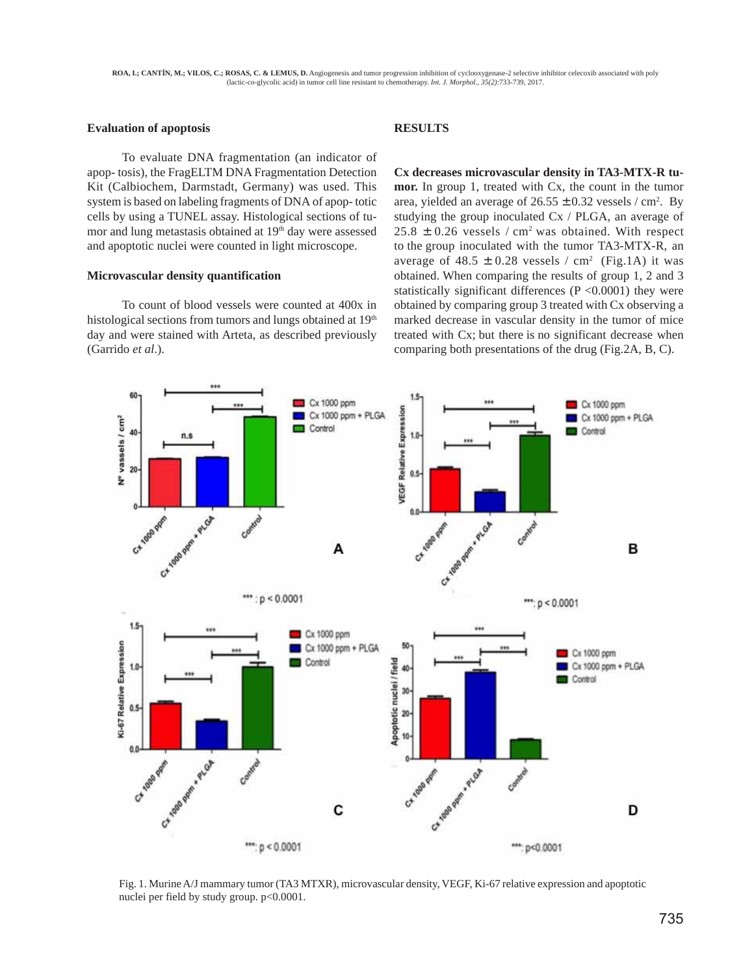#### **Evaluation of apoptosis**

To evaluate DNA fragmentation (an indicator of apop- tosis), the FragELTM DNA Fragmentation Detection Kit (Calbiochem, Darmstadt, Germany) was used. This system is based on labeling fragments of DNA of apop- totic cells by using a TUNEL assay. Histological sections of tumor and lung metastasis obtained at 19<sup>th</sup> day were assessed and apoptotic nuclei were counted in light microscope.

#### **Microvascular density quantification**

To count of blood vessels were counted at 400x in histological sections from tumors and lungs obtained at 19<sup>th</sup> day and were stained with Arteta, as described previously (Garrido *et al*.).

## **RESULTS**

**Cx decreases microvascular density in TA3-MTX-R tumor.** In group 1, treated with Cx, the count in the tumor area, yielded an average of  $26.55 \pm 0.32$  vessels / cm<sup>2</sup>. By studying the group inoculated Cx / PLGA, an average of  $25.8 \pm 0.26$  vessels / cm<sup>2</sup> was obtained. With respect to the group inoculated with the tumor TA3-MTX-R, an average of  $48.5 \pm 0.28$  vessels / cm<sup>2</sup> (Fig.1A) it was obtained. When comparing the results of group 1, 2 and 3 statistically significant differences  $(P \le 0.0001)$  they were obtained by comparing group 3 treated with Cx observing a marked decrease in vascular density in the tumor of mice treated with Cx; but there is no significant decrease when comparing both presentations of the drug (Fig.2A, B, C).



Fig. 1. Murine A/J mammary tumor (TA3 MTXR), microvascular density, VEGF, Ki-67 relative expression and apoptotic nuclei per field by study group. p<0.0001.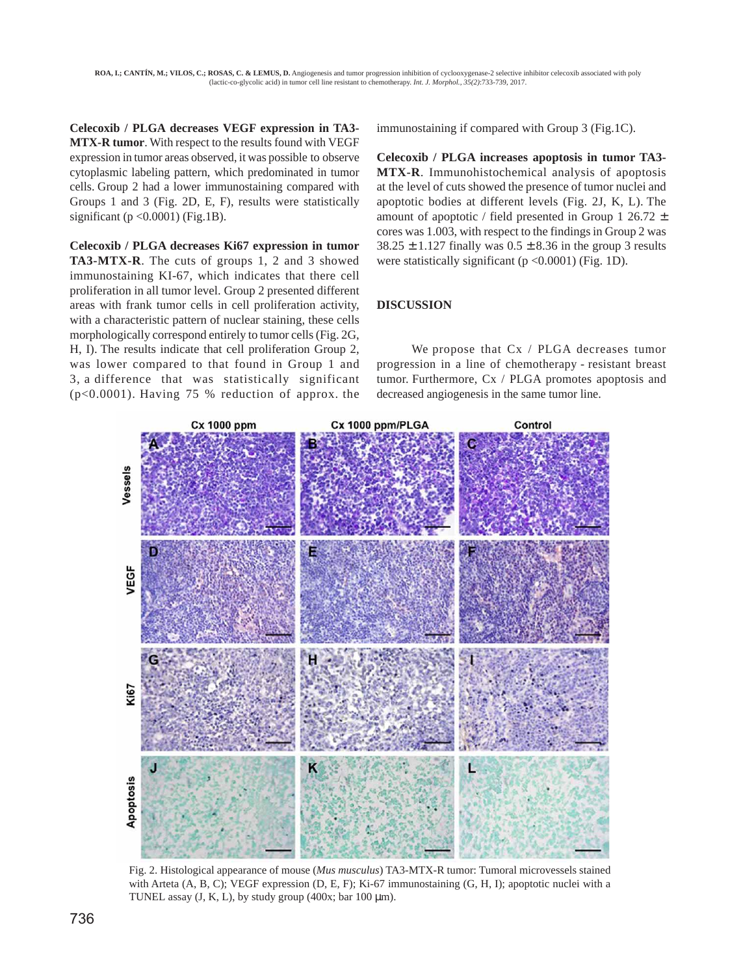**Celecoxib / PLGA decreases VEGF expression in TA3- MTX-R tumor**. With respect to the results found with VEGF expression in tumor areas observed, it was possible to observe cytoplasmic labeling pattern, which predominated in tumor cells. Group 2 had a lower immunostaining compared with Groups 1 and 3 (Fig. 2D, E, F), results were statistically significant ( $p < 0.0001$ ) (Fig.1B).

**Celecoxib / PLGA decreases Ki67 expression in tumor TA3-MTX-R**. The cuts of groups 1, 2 and 3 showed immunostaining KI-67, which indicates that there cell proliferation in all tumor level. Group 2 presented different areas with frank tumor cells in cell proliferation activity, with a characteristic pattern of nuclear staining, these cells morphologically correspond entirely to tumor cells (Fig. 2G, H, I). The results indicate that cell proliferation Group 2, was lower compared to that found in Group 1 and 3, a difference that was statistically significant (p<0.0001). Having 75 % reduction of approx. the

immunostaining if compared with Group 3 (Fig.1C).

**Celecoxib / PLGA increases apoptosis in tumor TA3- MTX-R**. Immunohistochemical analysis of apoptosis at the level of cuts showed the presence of tumor nuclei and apoptotic bodies at different levels (Fig. 2J, K, L). The amount of apoptotic / field presented in Group 1 26.72  $\pm$ cores was 1.003, with respect to the findings in Group 2 was  $38.25 \pm 1.127$  finally was  $0.5 \pm 8.36$  in the group 3 results were statistically significant ( $p < 0.0001$ ) (Fig. 1D).

## **DISCUSSION**

We propose that Cx / PLGA decreases tumor progression in a line of chemotherapy - resistant breast tumor. Furthermore, Cx / PLGA promotes apoptosis and decreased angiogenesis in the same tumor line.



Fig. 2. Histological appearance of mouse (*Mus musculus*) TA3-MTX-R tumor: Tumoral microvessels stained with Arteta (A, B, C); VEGF expression (D, E, F); Ki-67 immunostaining (G, H, I); apoptotic nuclei with a TUNEL assay  $(J, K, L)$ , by study group  $(400x; bar 100 \mu m)$ .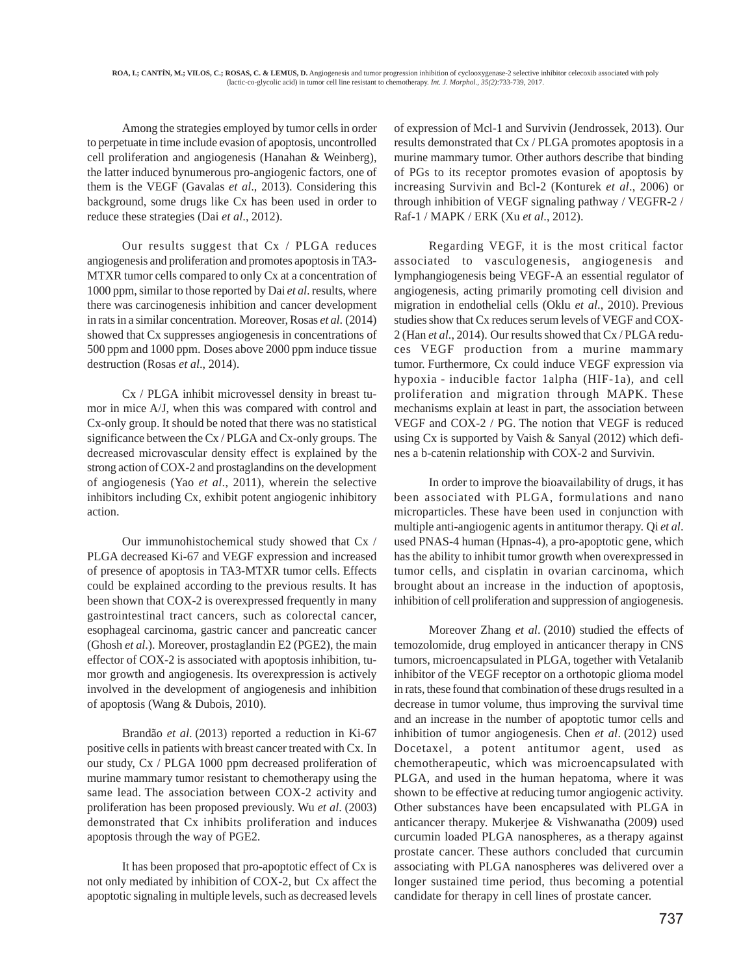Among the strategies employed by tumor cells in order to perpetuate in time include evasion of apoptosis, uncontrolled cell proliferation and angiogenesis (Hanahan & Weinberg), the latter induced bynumerous pro-angiogenic factors, one of them is the VEGF (Gavalas *et al*., 2013). Considering this background, some drugs like Cx has been used in order to reduce these strategies (Dai *et al*., 2012).

Our results suggest that Cx / PLGA reduces angiogenesis and proliferation and promotes apoptosis in TA3- MTXR tumor cells compared to only Cx at a concentration of 1000 ppm, similar to those reported by Dai *et al*. results, where there was carcinogenesis inhibition and cancer development in rats in a similar concentration. Moreover, Rosas *et al*. (2014) showed that Cx suppresses angiogenesis in concentrations of 500 ppm and 1000 ppm. Doses above 2000 ppm induce tissue destruction (Rosas *et al*., 2014).

Cx / PLGA inhibit microvessel density in breast tumor in mice A/J, when this was compared with control and Cx-only group. It should be noted that there was no statistical significance between the Cx / PLGA and Cx-only groups. The decreased microvascular density effect is explained by the strong action of COX-2 and prostaglandins on the development of angiogenesis (Yao *et al*., 2011), wherein the selective inhibitors including Cx, exhibit potent angiogenic inhibitory action.

Our immunohistochemical study showed that Cx / PLGA decreased Ki-67 and VEGF expression and increased of presence of apoptosis in TA3-MTXR tumor cells. Effects could be explained according to the previous results. It has been shown that COX-2 is overexpressed frequently in many gastrointestinal tract cancers, such as colorectal cancer, esophageal carcinoma, gastric cancer and pancreatic cancer (Ghosh *et al*.). Moreover, prostaglandin E2 (PGE2), the main effector of COX-2 is associated with apoptosis inhibition, tumor growth and angiogenesis. Its overexpression is actively involved in the development of angiogenesis and inhibition of apoptosis (Wang & Dubois, 2010).

Brandão *et al*. (2013) reported a reduction in Ki-67 positive cells in patients with breast cancer treated with Cx. In our study, Cx / PLGA 1000 ppm decreased proliferation of murine mammary tumor resistant to chemotherapy using the same lead. The association between COX-2 activity and proliferation has been proposed previously. Wu *et al*. (2003) demonstrated that Cx inhibits proliferation and induces apoptosis through the way of PGE2.

It has been proposed that pro-apoptotic effect of Cx is not only mediated by inhibition of COX-2, but Cx affect the apoptotic signaling in multiple levels, such as decreased levels

of expression of Mcl-1 and Survivin (Jendrossek, 2013). Our results demonstrated that Cx / PLGA promotes apoptosis in a murine mammary tumor. Other authors describe that binding of PGs to its receptor promotes evasion of apoptosis by increasing Survivin and Bcl-2 (Konturek *et al*., 2006) or through inhibition of VEGF signaling pathway / VEGFR-2 / Raf-1 / MAPK / ERK (Xu *et al*., 2012).

Regarding VEGF, it is the most critical factor associated to vasculogenesis, angiogenesis and lymphangiogenesis being VEGF-A an essential regulator of angiogenesis, acting primarily promoting cell division and migration in endothelial cells (Oklu *et al*., 2010). Previous studies show that Cx reduces serum levels of VEGF and COX-2 (Han *et al*., 2014). Our results showed that Cx / PLGA reduces VEGF production from a murine mammary tumor. Furthermore, Cx could induce VEGF expression via hypoxia - inducible factor 1alpha (HIF-1a), and cell proliferation and migration through MAPK. These mechanisms explain at least in part, the association between VEGF and COX-2 / PG. The notion that VEGF is reduced using Cx is supported by Vaish & Sanyal (2012) which defines a b-catenin relationship with COX-2 and Survivin.

In order to improve the bioavailability of drugs, it has been associated with PLGA, formulations and nano microparticles. These have been used in conjunction with multiple anti-angiogenic agents in antitumor therapy. Qi *et al*. used PNAS-4 human (Hpnas-4), a pro-apoptotic gene, which has the ability to inhibit tumor growth when overexpressed in tumor cells, and cisplatin in ovarian carcinoma, which brought about an increase in the induction of apoptosis, inhibition of cell proliferation and suppression of angiogenesis.

Moreover Zhang *et al*. (2010) studied the effects of temozolomide, drug employed in anticancer therapy in CNS tumors, microencapsulated in PLGA, together with Vetalanib inhibitor of the VEGF receptor on a orthotopic glioma model in rats, these found that combination of these drugs resulted in a decrease in tumor volume, thus improving the survival time and an increase in the number of apoptotic tumor cells and inhibition of tumor angiogenesis. Chen *et al*. (2012) used Docetaxel, a potent antitumor agent, used as chemotherapeutic, which was microencapsulated with PLGA, and used in the human hepatoma, where it was shown to be effective at reducing tumor angiogenic activity. Other substances have been encapsulated with PLGA in anticancer therapy. Mukerjee & Vishwanatha (2009) used curcumin loaded PLGA nanospheres, as a therapy against prostate cancer. These authors concluded that curcumin associating with PLGA nanospheres was delivered over a longer sustained time period, thus becoming a potential candidate for therapy in cell lines of prostate cancer.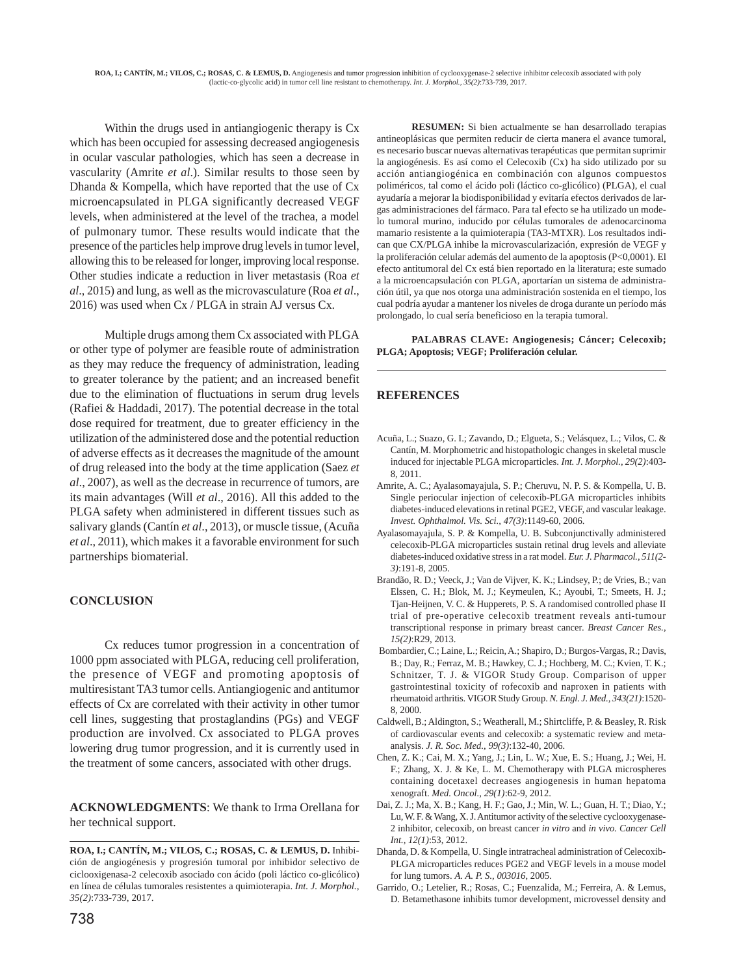Within the drugs used in antiangiogenic therapy is Cx which has been occupied for assessing decreased angiogenesis in ocular vascular pathologies, which has seen a decrease in vascularity (Amrite *et al*.). Similar results to those seen by Dhanda & Kompella, which have reported that the use of Cx microencapsulated in PLGA significantly decreased VEGF levels, when administered at the level of the trachea, a model of pulmonary tumor. These results would indicate that the presence of the particles help improve drug levels in tumor level, allowing this to be released for longer, improving local response. Other studies indicate a reduction in liver metastasis (Roa *et al*., 2015) and lung, as well as the microvasculature (Roa *et al*., 2016) was used when Cx / PLGA in strain AJ versus Cx.

Multiple drugs among them Cx associated with PLGA or other type of polymer are feasible route of administration as they may reduce the frequency of administration, leading to greater tolerance by the patient; and an increased benefit due to the elimination of fluctuations in serum drug levels (Rafiei & Haddadi, 2017). The potential decrease in the total dose required for treatment, due to greater efficiency in the utilization of the administered dose and the potential reduction of adverse effects as it decreases the magnitude of the amount of drug released into the body at the time application (Saez *et al*., 2007), as well as the decrease in recurrence of tumors, are its main advantages (Will *et al*., 2016). All this added to the PLGA safety when administered in different tissues such as salivary glands (Cantín *et al*., 2013), or muscle tissue, (Acuña *et al*., 2011), which makes it a favorable environment for such partnerships biomaterial.

## **CONCLUSION**

Cx reduces tumor progression in a concentration of 1000 ppm associated with PLGA, reducing cell proliferation, the presence of VEGF and promoting apoptosis of multiresistant TA3 tumor cells. Antiangiogenic and antitumor effects of Cx are correlated with their activity in other tumor cell lines, suggesting that prostaglandins (PGs) and VEGF production are involved. Cx associated to PLGA proves lowering drug tumor progression, and it is currently used in the treatment of some cancers, associated with other drugs.

**ACKNOWLEDGMENTS**: We thank to Irma Orellana for her technical support.

**RESUMEN:** Si bien actualmente se han desarrollado terapias antineoplásicas que permiten reducir de cierta manera el avance tumoral, es necesario buscar nuevas alternativas terapéuticas que permitan suprimir la angiogénesis. Es así como el Celecoxib (Cx) ha sido utilizado por su acción antiangiogénica en combinación con algunos compuestos poliméricos, tal como el ácido poli (láctico co-glicólico) (PLGA), el cual ayudaría a mejorar la biodisponibilidad y evitaría efectos derivados de largas administraciones del fármaco. Para tal efecto se ha utilizado un modelo tumoral murino, inducido por células tumorales de adenocarcinoma mamario resistente a la quimioterapia (TA3-MTXR). Los resultados indican que CX/PLGA inhibe la microvascularización, expresión de VEGF y la proliferación celular además del aumento de la apoptosis (P<0,0001). El efecto antitumoral del Cx está bien reportado en la literatura; este sumado a la microencapsulación con PLGA, aportarían un sistema de administración útil, ya que nos otorga una administración sostenida en el tiempo, los cual podría ayudar a mantener los niveles de droga durante un período más prolongado, lo cual sería beneficioso en la terapia tumoral.

**PALABRAS CLAVE: Angiogenesis; Cáncer; Celecoxib; PLGA; Apoptosis; VEGF; Proliferación celular.**

## **REFERENCES**

- Acuña, L.; Suazo, G. I.; Zavando, D.; Elgueta, S.; Velásquez, L.; Vilos, C. & Cantín, M. Morphometric and histopathologic changes in skeletal muscle induced for injectable PLGA microparticles. *Int. J. Morphol., 29(2)*:403- 8, 2011.
- Amrite, A. C.; Ayalasomayajula, S. P.; Cheruvu, N. P. S. & Kompella, U. B. Single periocular injection of celecoxib-PLGA microparticles inhibits diabetes-induced elevations in retinal PGE2, VEGF, and vascular leakage. *Invest. Ophthalmol. Vis. Sci., 47(3)*:1149-60, 2006.
- Ayalasomayajula, S. P. & Kompella, U. B. Subconjunctivally administered celecoxib-PLGA microparticles sustain retinal drug levels and alleviate diabetes-induced oxidative stress in a rat model. *Eur. J. Pharmacol., 511(2- 3)*:191-8, 2005.
- Brandão, R. D.; Veeck, J.; Van de Vijver, K. K.; Lindsey, P.; de Vries, B.; van Elssen, C. H.; Blok, M. J.; Keymeulen, K.; Ayoubi, T.; Smeets, H. J.; Tjan-Heijnen, V. C. & Hupperets, P. S. A randomised controlled phase II trial of pre-operative celecoxib treatment reveals anti-tumour transcriptional response in primary breast cancer. *Breast Cancer Res., 15(2)*:R29, 2013.
- Bombardier, C.; Laine, L.; Reicin, A.; Shapiro, D.; Burgos-Vargas, R.; Davis, B.; Day, R.; Ferraz, M. B.; Hawkey, C. J.; Hochberg, M. C.; Kvien, T. K.; Schnitzer, T. J. & VIGOR Study Group. Comparison of upper gastrointestinal toxicity of rofecoxib and naproxen in patients with rheumatoid arthritis. VIGOR Study Group. *N. Engl. J. Med., 343(21)*:1520- 8, 2000.
- Caldwell, B.; Aldington, S.; Weatherall, M.; Shirtcliffe, P. & Beasley, R. Risk of cardiovascular events and celecoxib: a systematic review and metaanalysis. *J. R. Soc. Med., 99(3)*:132-40, 2006.
- Chen, Z. K.; Cai, M. X.; Yang, J.; Lin, L. W.; Xue, E. S.; Huang, J.; Wei, H. F.; Zhang, X. J. & Ke, L. M. Chemotherapy with PLGA microspheres containing docetaxel decreases angiogenesis in human hepatoma xenograft. *Med. Oncol., 29(1)*:62-9, 2012.
- Dai, Z. J.; Ma, X. B.; Kang, H. F.; Gao, J.; Min, W. L.; Guan, H. T.; Diao, Y.; Lu, W. F. & Wang, X. J. Antitumor activity of the selective cyclooxygenase-2 inhibitor, celecoxib, on breast cancer *in vitro* and *in vivo. Cancer Cell Int., 12(1)*:53, 2012.
- Dhanda, D. & Kompella, U. Single intratracheal administration of Celecoxib-PLGA microparticles reduces PGE2 and VEGF levels in a mouse model for lung tumors. *A. A. P. S., 003016,* 2005.
- Garrido, O.; Letelier, R.; Rosas, C.; Fuenzalida, M.; Ferreira, A. & Lemus, D. Betamethasone inhibits tumor development, microvessel density and

**ROA, I.; CANTÍN, M.; VILOS, C.; ROSAS, C. & LEMUS, D.** Inhibición de angiogénesis y progresión tumoral por inhibidor selectivo de ciclooxigenasa-2 celecoxib asociado con ácido (poli láctico co-glicólico) en línea de células tumorales resistentes a quimioterapia. *Int. J. Morphol., 35(2)*:733-739, 2017.